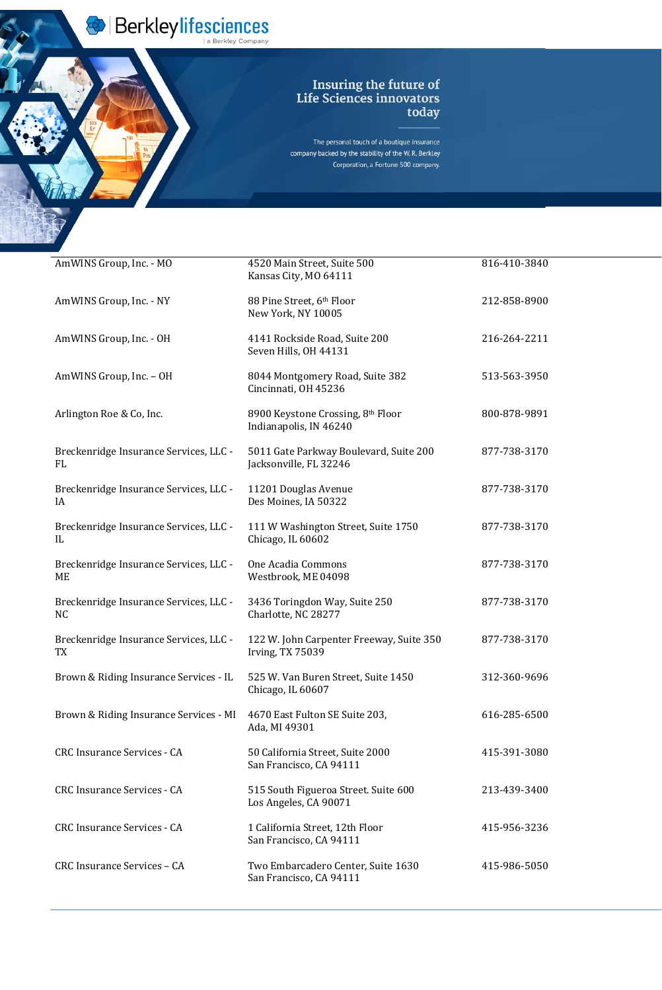Berkleylifesciences

## Insuring the future of<br>Life Sciences innovators<br>today

The personal touch of a boutique insurance company backed by the stability of the W.R. Berkley Corporation, a Fortune 500 company.

| AmWINS Group, Inc. - MO                                  | 4520 Main Street, Suite 500<br>Kansas City, MO 64111                | 816-410-3840 |
|----------------------------------------------------------|---------------------------------------------------------------------|--------------|
| AmWINS Group, Inc. - NY                                  | 88 Pine Street, 6th Floor<br>New York, NY 10005                     | 212-858-8900 |
| AmWINS Group, Inc. - OH                                  | 4141 Rockside Road, Suite 200<br>Seven Hills, OH 44131              | 216-264-2211 |
| AmWINS Group, Inc. - OH                                  | 8044 Montgomery Road, Suite 382<br>Cincinnati, OH 45236             | 513-563-3950 |
| Arlington Roe & Co, Inc.                                 | 8900 Keystone Crossing, 8th Floor<br>Indianapolis, IN 46240         | 800-878-9891 |
| Breckenridge Insurance Services, LLC -<br><b>FL</b>      | 5011 Gate Parkway Boulevard, Suite 200<br>Jacksonville, FL 32246    | 877-738-3170 |
| Breckenridge Insurance Services, LLC -<br>IA             | 11201 Douglas Avenue<br>Des Moines, IA 50322                        | 877-738-3170 |
| Breckenridge Insurance Services, LLC -<br>IL             | 111 W Washington Street, Suite 1750<br>Chicago, IL 60602            | 877-738-3170 |
| Breckenridge Insurance Services, LLC -<br>ME             | One Acadia Commons<br>Westbrook, ME 04098                           | 877-738-3170 |
| Breckenridge Insurance Services, LLC -<br>N <sub>C</sub> | 3436 Toringdon Way, Suite 250<br>Charlotte, NC 28277                | 877-738-3170 |
| Breckenridge Insurance Services, LLC -<br>TX             | 122 W. John Carpenter Freeway, Suite 350<br><b>Irving, TX 75039</b> | 877-738-3170 |
| Brown & Riding Insurance Services - IL                   | 525 W. Van Buren Street, Suite 1450                                 | 312-360-9696 |

|                                        | Chicago, IL 60607                                             |              |
|----------------------------------------|---------------------------------------------------------------|--------------|
| Brown & Riding Insurance Services - MI | 4670 East Fulton SE Suite 203,<br>Ada, MI 49301               | 616-285-6500 |
| <b>CRC Insurance Services - CA</b>     | 50 California Street, Suite 2000<br>San Francisco, CA 94111   | 415-391-3080 |
| <b>CRC Insurance Services - CA</b>     | 515 South Figueroa Street. Suite 600<br>Los Angeles, CA 90071 | 213-439-3400 |
| <b>CRC Insurance Services - CA</b>     | 1 California Street, 12th Floor<br>San Francisco, CA 94111    | 415-956-3236 |
| CRC Insurance Services - CA            | Two Embarcadero Center, Suite 1630<br>San Francisco, CA 94111 | 415-986-5050 |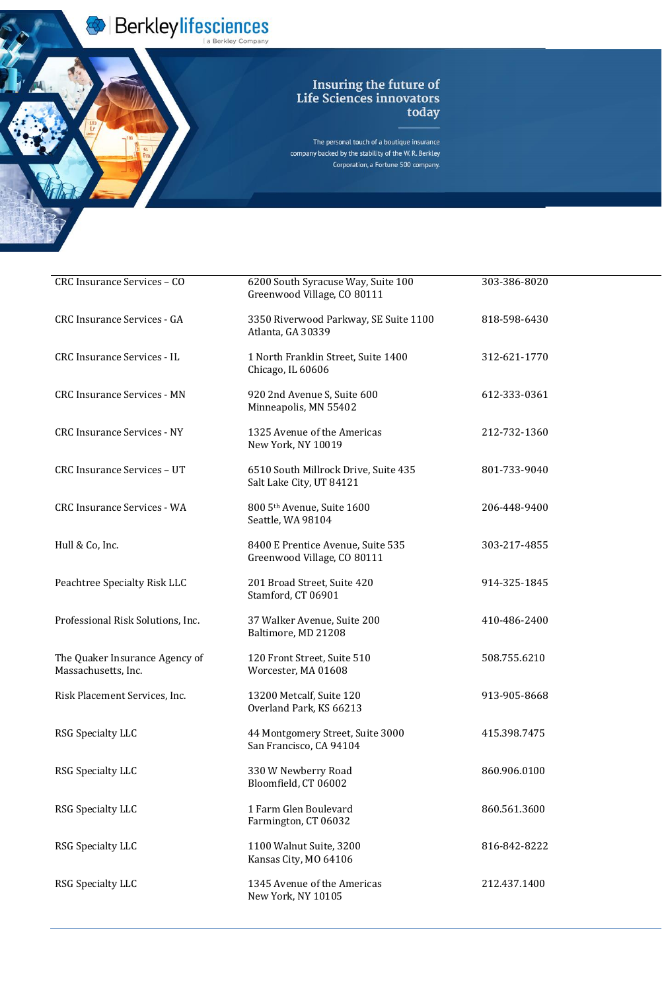Berkleylifesciences

## Insuring the future of<br>Life Sciences innovators<br>today

The personal touch of a boutique insurance company backed by the stability of the W.R. Berkley Corporation, a Fortune 500 company.

| CRC Insurance Services - CO                           | 6200 South Syracuse Way, Suite 100<br>Greenwood Village, CO 80111 | 303-386-8020 |
|-------------------------------------------------------|-------------------------------------------------------------------|--------------|
| <b>CRC Insurance Services - GA</b>                    | 3350 Riverwood Parkway, SE Suite 1100<br>Atlanta, GA 30339        | 818-598-6430 |
| <b>CRC Insurance Services - IL</b>                    | 1 North Franklin Street, Suite 1400<br>Chicago, IL 60606          | 312-621-1770 |
| <b>CRC Insurance Services - MN</b>                    | 920 2nd Avenue S, Suite 600<br>Minneapolis, MN 55402              | 612-333-0361 |
| <b>CRC Insurance Services - NY</b>                    | 1325 Avenue of the Americas<br>New York, NY 10019                 | 212-732-1360 |
| CRC Insurance Services - UT                           | 6510 South Millrock Drive, Suite 435<br>Salt Lake City, UT 84121  | 801-733-9040 |
| <b>CRC Insurance Services - WA</b>                    | 800 5th Avenue, Suite 1600<br>Seattle, WA 98104                   | 206-448-9400 |
| Hull & Co, Inc.                                       | 8400 E Prentice Avenue, Suite 535<br>Greenwood Village, CO 80111  | 303-217-4855 |
| Peachtree Specialty Risk LLC                          | 201 Broad Street, Suite 420<br>Stamford, CT 06901                 | 914-325-1845 |
| Professional Risk Solutions, Inc.                     | 37 Walker Avenue, Suite 200<br>Baltimore, MD 21208                | 410-486-2400 |
| The Quaker Insurance Agency of<br>Massachusetts, Inc. | 120 Front Street, Suite 510<br>Worcester, MA 01608                | 508.755.6210 |
| Risk Placement Services, Inc.                         | 13200 Metcalf, Suite 120<br>Overland Park, KS 66213               | 913-905-8668 |
| <b>RSG Specialty LLC</b>                              | 44 Montgomery Street, Suite 3000<br>San Francisco, CA 94104       | 415.398.7475 |
| <b>RSG Specialty LLC</b>                              | 330 W Newberry Road<br>Bloomfield, CT 06002                       | 860.906.0100 |
| <b>RSG Specialty LLC</b>                              | 1 Farm Glen Boulevard<br>Farmington, CT 06032                     | 860.561.3600 |
| <b>RSG Specialty LLC</b>                              | 1100 Walnut Suite, 3200<br>Kansas City, MO 64106                  | 816-842-8222 |
| <b>RSG Specialty LLC</b>                              | 1345 Avenue of the Americas<br>New York, NY 10105                 | 212.437.1400 |